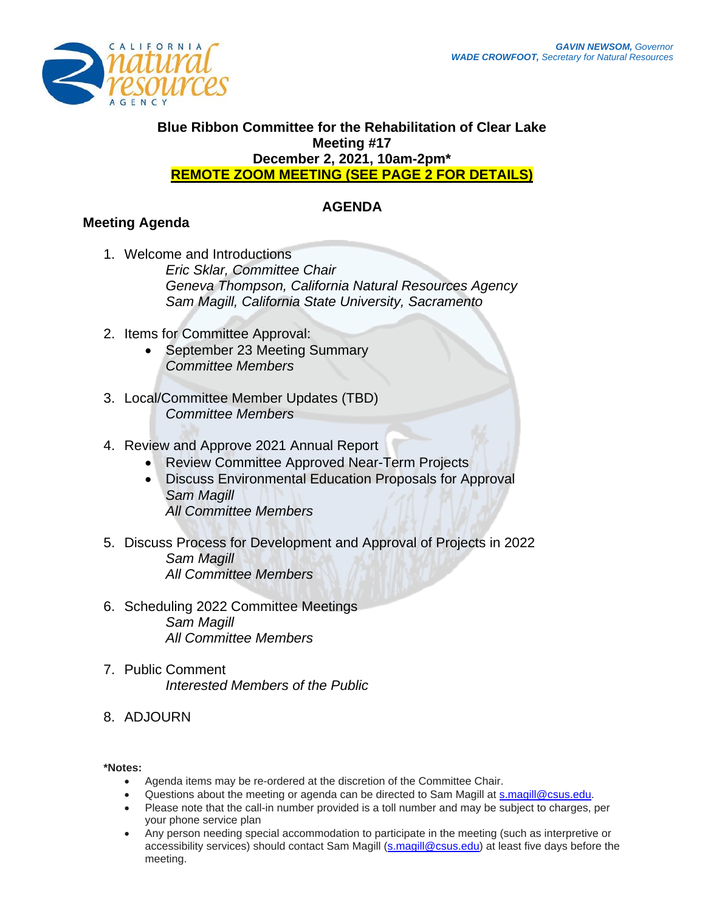

## **Blue Ribbon Committee for the Rehabilitation of Clear Lake Meeting #17 December 2, 2021, 10am-2pm\* REMOTE ZOOM MEETING (SEE PAGE 2 FOR DETAILS)**

## **AGENDA**

# **Meeting Agenda**

- 1. Welcome and Introductions *Eric Sklar, Committee Chair Geneva Thompson, California Natural Resources Agency Sam Magill, California State University, Sacramento*
- 2. Items for Committee Approval:
	- September 23 Meeting Summary *Committee Members*
- 3. Local/Committee Member Updates (TBD) *Committee Members*
- 4. Review and Approve 2021 Annual Report
	- Review Committee Approved Near-Term Projects
	- Discuss Environmental Education Proposals for Approval *Sam Magill All Committee Members*
- 5. Discuss Process for Development and Approval of Projects in 2022 *Sam Magill All Committee Members*
- 6. Scheduling 2022 Committee Meetings *Sam Magill All Committee Members*
- 7. Public Comment *Interested Members of the Public*
- 8. ADJOURN

#### **\*Notes:**

- Agenda items may be re-ordered at the discretion of the Committee Chair.
- Questions about the meeting or agenda can be directed to Sam Magill at [s.magill@csus.edu.](mailto:s.magill@csus.edu)
- Please note that the call-in number provided is a toll number and may be subject to charges, per your phone service plan
- Any person needing special accommodation to participate in the meeting (such as interpretive or accessibility services) should contact Sam Magill [\(s.magill@csus.edu\)](mailto:s.magill@csus.edu) at least five days before the meeting.